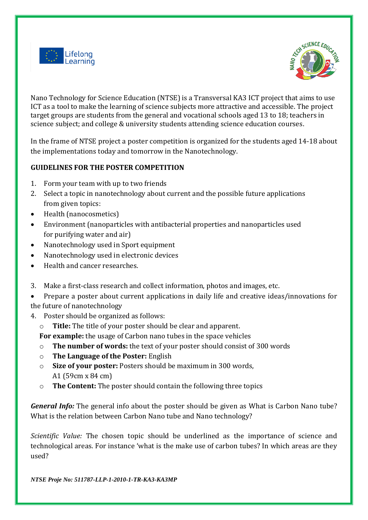



Nano Technology for Science Education (NTSE) is a Transversal KA3 ICT project that aims to use ICT as a tool to make the learning of science subjects more attractive and accessible. The project target groups are students from the general and vocational schools aged 13 to 18; teachers in science subject; and college & university students attending science education courses.

In the frame of NTSE project a poster competition is organized for the students aged 14-18 about the implementations today and tomorrow in the Nanotechnology.

## **GUIDELINES FOR THE POSTER COMPETITION**

- 1. Form your team with up to two friends
- 2. Select a topic in nanotechnology about current and the possible future applications from given topics:
- Health (nanocosmetics)
- Environment (nanoparticles with antibacterial properties and nanoparticles used for purifying water and air)
- Nanotechnology used in Sport equipment
- Nanotechnology used in electronic devices
- Health and cancer researches.
- 3. Make a first-class research and collect information, photos and images, etc.
- Prepare a poster about current applications in daily life and creative ideas/innovations for the future of nanotechnology
- 4. Poster should be organized as follows:
	- o **Title:** The title of your poster should be clear and apparent.

**For example:** the usage of Carbon nano tubes in the space vehicles

- o **The number of words:** the text of your poster should consist of 300 words
- o **The Language of the Poster:** English
- o **Size of your poster:** Posters should be maximum in 300 words, A1 (59cm x 84 cm)
- o **The Content:** The poster should contain the following three topics

*General Info:* The general info about the poster should be given as What is Carbon Nano tube? What is the relation between Carbon Nano tube and Nano technology?

*Scientific Value:* The chosen topic should be underlined as the importance of science and technological areas. For instance 'what is the make use of carbon tubes? In which areas are they used?

*NTSE Proje No: 511787-LLP-1-2010-1-TR-KA3-KA3MP*